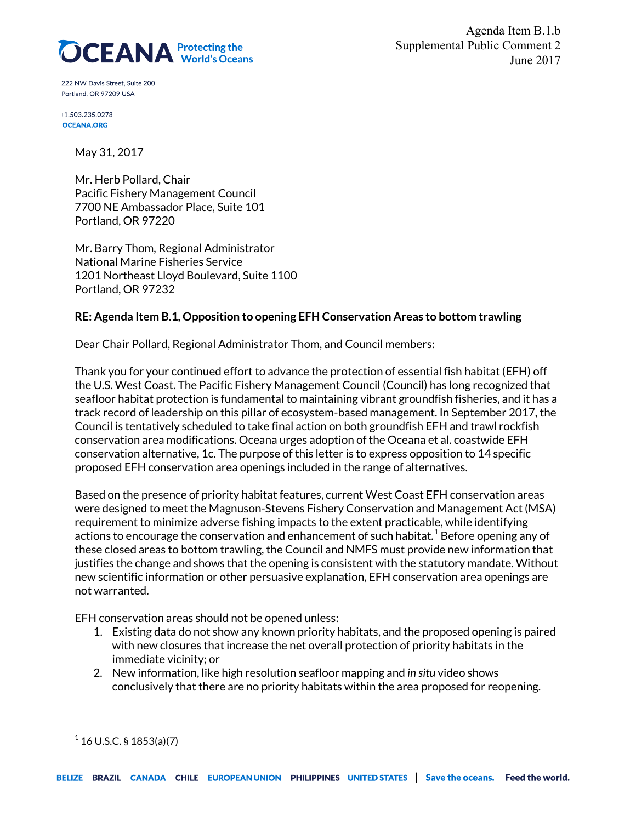

Agenda Item B.1.b Supplemental Public Comment 2 June 2017

222 NW Davis Street, Suite 200 Portland, OR 97209 USA

+1.503.235.0278 **OCEANA.ORG** 

May 31, 2017

Mr. Herb Pollard, Chair Pacific Fishery Management Council 7700 NE Ambassador Place, Suite 101 Portland, OR 97220

Mr. Barry Thom, Regional Administrator National Marine Fisheries Service 1201 Northeast Lloyd Boulevard, Suite 1100 Portland, OR 97232

## **RE: Agenda Item B.1, Opposition to opening EFH Conservation Areas to bottom trawling**

Dear Chair Pollard, Regional Administrator Thom, and Council members:

Thank you for your continued effort to advance the protection of essential fish habitat (EFH) off the U.S. West Coast. The Pacific Fishery Management Council (Council) has long recognized that seafloor habitat protection is fundamental to maintaining vibrant groundfish fisheries, and it has a track record of leadership on this pillar of ecosystem-based management. In September 2017, the Council is tentatively scheduled to take final action on both groundfish EFH and trawl rockfish conservation area modifications. Oceana urges adoption of the Oceana et al. coastwide EFH conservation alternative, 1c. The purpose of this letter is to express opposition to 14 specific proposed EFH conservation area openings included in the range of alternatives.

Based on the presence of priority habitat features, current West Coast EFH conservation areas were designed to meet the Magnuson-Stevens Fishery Conservation and Management Act (MSA) requirement to minimize adverse fishing impacts to the extent practicable, while identifying actions to encourage the conservation and enhancement of such habitat. $^{\rm 1}$  $^{\rm 1}$  $^{\rm 1}$  Before opening any of these closed areas to bottom trawling, the Council and NMFS must provide new information that justifies the change and shows that the opening is consistent with the statutory mandate. Without new scientific information or other persuasive explanation, EFH conservation area openings are not warranted.

EFH conservation areas should not be opened unless:

- 1. Existing data do not show any known priority habitats, and the proposed opening is paired with new closures that increase the net overall protection of priority habitats in the immediate vicinity; or
- 2. New information, like high resolution seafloor mapping and *in situ* video shows conclusively that there are no priority habitats within the area proposed for reopening.

 $\overline{\phantom{a}}$ 

<span id="page-0-0"></span> $1$  16 U.S.C. § 1853(a)(7)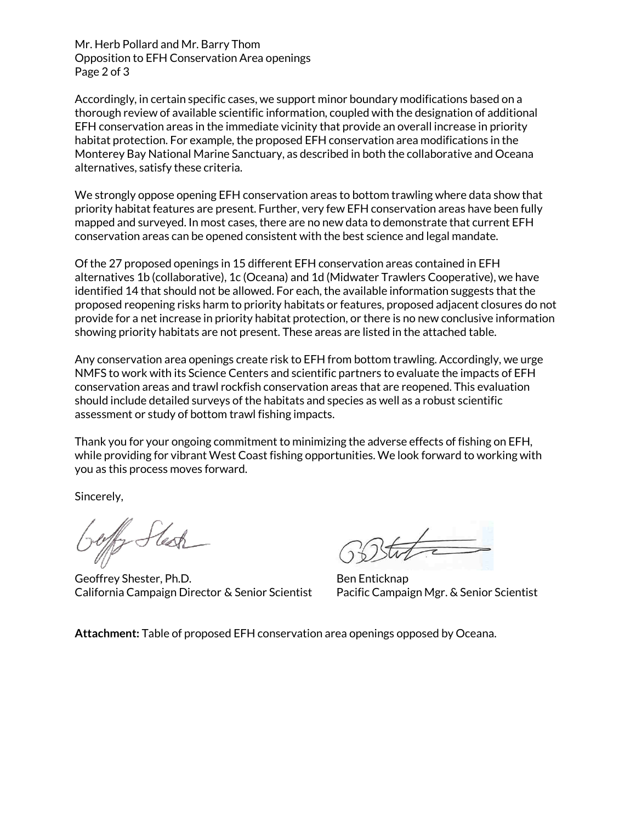Mr. Herb Pollard and Mr. Barry Thom Opposition to EFH Conservation Area openings Page 2 of 3

Accordingly, in certain specific cases, we support minor boundary modifications based on a thorough review of available scientific information, coupled with the designation of additional EFH conservation areas in the immediate vicinity that provide an overall increase in priority habitat protection. For example, the proposed EFH conservation area modifications in the Monterey Bay National Marine Sanctuary, as described in both the collaborative and Oceana alternatives, satisfy these criteria.

We strongly oppose opening EFH conservation areas to bottom trawling where data show that priority habitat features are present. Further, very few EFH conservation areas have been fully mapped and surveyed. In most cases, there are no new data to demonstrate that current EFH conservation areas can be opened consistent with the best science and legal mandate.

Of the 27 proposed openings in 15 different EFH conservation areas contained in EFH alternatives 1b (collaborative), 1c (Oceana) and 1d (Midwater Trawlers Cooperative), we have identified 14 that should not be allowed. For each, the available information suggests that the proposed reopening risks harm to priority habitats or features, proposed adjacent closures do not provide for a net increase in priority habitat protection, or there is no new conclusive information showing priority habitats are not present. These areas are listed in the attached table.

Any conservation area openings create risk to EFH from bottom trawling. Accordingly, we urge NMFS to work with its Science Centers and scientific partners to evaluate the impacts of EFH conservation areas and trawl rockfish conservation areas that are reopened. This evaluation should include detailed surveys of the habitats and species as well as a robust scientific assessment or study of bottom trawl fishing impacts.

Thank you for your ongoing commitment to minimizing the adverse effects of fishing on EFH, while providing for vibrant West Coast fishing opportunities. We look forward to working with you as this process moves forward.

Sincerely,

offy Stesh

Geoffrey Shester, Ph.D. Ben Enticknap California Campaign Director & Senior Scientist Pacific Campaign Mgr. & Senior Scientist

**Attachment:** Table of proposed EFH conservation area openings opposed by Oceana.